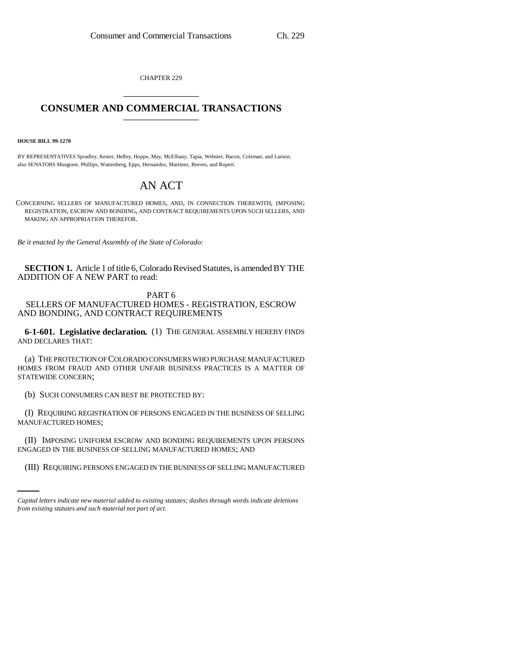CHAPTER 229 \_\_\_\_\_\_\_\_\_\_\_\_\_\_\_

## **CONSUMER AND COMMERCIAL TRANSACTIONS** \_\_\_\_\_\_\_\_\_\_\_\_\_\_\_

**HOUSE BILL 99-1270** 

BY REPRESENTATIVES Spradley, Kester, Hefley, Hoppe, May, McElhany, Tapia, Webster, Bacon, Coleman, and Larson; also SENATORS Musgrave, Phillips, Wattenberg, Epps, Hernandez, Martinez, Reeves, and Rupert.

## AN ACT

CONCERNING SELLERS OF MANUFACTURED HOMES, AND, IN CONNECTION THEREWITH, IMPOSING REGISTRATION, ESCROW AND BONDING, AND CONTRACT REQUIREMENTS UPON SUCH SELLERS, AND MAKING AN APPROPRIATION THEREFOR.

*Be it enacted by the General Assembly of the State of Colorado:*

**SECTION 1.** Article 1 of title 6, Colorado Revised Statutes, is amended BY THE ADDITION OF A NEW PART to read:

PART 6 SELLERS OF MANUFACTURED HOMES - REGISTRATION, ESCROW AND BONDING, AND CONTRACT REQUIREMENTS

**6-1-601. Legislative declaration.** (1) THE GENERAL ASSEMBLY HEREBY FINDS AND DECLARES THAT:

(a) THE PROTECTION OF COLORADO CONSUMERS WHO PURCHASE MANUFACTURED HOMES FROM FRAUD AND OTHER UNFAIR BUSINESS PRACTICES IS A MATTER OF STATEWIDE CONCERN;

(b) SUCH CONSUMERS CAN BEST BE PROTECTED BY:

(I) REQUIRING REGISTRATION OF PERSONS ENGAGED IN THE BUSINESS OF SELLING MANUFACTURED HOMES;

ENGAGED IN THE BUSINESS OF SELLING MANUFACTURED HOMES; AND (II) IMPOSING UNIFORM ESCROW AND BONDING REQUIREMENTS UPON PERSONS

(III) REQUIRING PERSONS ENGAGED IN THE BUSINESS OF SELLING MANUFACTURED

*Capital letters indicate new material added to existing statutes; dashes through words indicate deletions from existing statutes and such material not part of act.*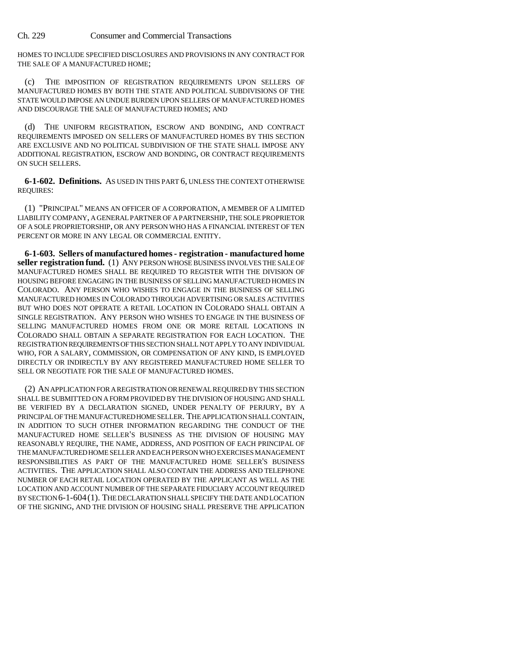Ch. 229 Consumer and Commercial Transactions

HOMES TO INCLUDE SPECIFIED DISCLOSURES AND PROVISIONS IN ANY CONTRACT FOR THE SALE OF A MANUFACTURED HOME;

(c) THE IMPOSITION OF REGISTRATION REQUIREMENTS UPON SELLERS OF MANUFACTURED HOMES BY BOTH THE STATE AND POLITICAL SUBDIVISIONS OF THE STATE WOULD IMPOSE AN UNDUE BURDEN UPON SELLERS OF MANUFACTURED HOMES AND DISCOURAGE THE SALE OF MANUFACTURED HOMES; AND

(d) THE UNIFORM REGISTRATION, ESCROW AND BONDING, AND CONTRACT REQUIREMENTS IMPOSED ON SELLERS OF MANUFACTURED HOMES BY THIS SECTION ARE EXCLUSIVE AND NO POLITICAL SUBDIVISION OF THE STATE SHALL IMPOSE ANY ADDITIONAL REGISTRATION, ESCROW AND BONDING, OR CONTRACT REQUIREMENTS ON SUCH SELLERS.

**6-1-602. Definitions.** AS USED IN THIS PART 6, UNLESS THE CONTEXT OTHERWISE REQUIRES:

(1) "PRINCIPAL" MEANS AN OFFICER OF A CORPORATION, A MEMBER OF A LIMITED LIABILITY COMPANY, A GENERAL PARTNER OF A PARTNERSHIP, THE SOLE PROPRIETOR OF A SOLE PROPRIETORSHIP, OR ANY PERSON WHO HAS A FINANCIAL INTEREST OF TEN PERCENT OR MORE IN ANY LEGAL OR COMMERCIAL ENTITY.

**6-1-603. Sellers of manufactured homes - registration - manufactured home seller registration fund.** (1) ANY PERSON WHOSE BUSINESS INVOLVES THE SALE OF MANUFACTURED HOMES SHALL BE REQUIRED TO REGISTER WITH THE DIVISION OF HOUSING BEFORE ENGAGING IN THE BUSINESS OF SELLING MANUFACTURED HOMES IN COLORADO. ANY PERSON WHO WISHES TO ENGAGE IN THE BUSINESS OF SELLING MANUFACTURED HOMES IN COLORADO THROUGH ADVERTISING OR SALES ACTIVITIES BUT WHO DOES NOT OPERATE A RETAIL LOCATION IN COLORADO SHALL OBTAIN A SINGLE REGISTRATION. ANY PERSON WHO WISHES TO ENGAGE IN THE BUSINESS OF SELLING MANUFACTURED HOMES FROM ONE OR MORE RETAIL LOCATIONS IN COLORADO SHALL OBTAIN A SEPARATE REGISTRATION FOR EACH LOCATION. THE REGISTRATION REQUIREMENTS OF THIS SECTION SHALL NOT APPLY TO ANY INDIVIDUAL WHO, FOR A SALARY, COMMISSION, OR COMPENSATION OF ANY KIND, IS EMPLOYED DIRECTLY OR INDIRECTLY BY ANY REGISTERED MANUFACTURED HOME SELLER TO SELL OR NEGOTIATE FOR THE SALE OF MANUFACTURED HOMES.

(2) AN APPLICATION FOR A REGISTRATION OR RENEWAL REQUIRED BY THIS SECTION SHALL BE SUBMITTED ON A FORM PROVIDED BY THE DIVISION OF HOUSING AND SHALL BE VERIFIED BY A DECLARATION SIGNED, UNDER PENALTY OF PERJURY, BY A PRINCIPAL OF THE MANUFACTURED HOME SELLER. THE APPLICATION SHALL CONTAIN, IN ADDITION TO SUCH OTHER INFORMATION REGARDING THE CONDUCT OF THE MANUFACTURED HOME SELLER'S BUSINESS AS THE DIVISION OF HOUSING MAY REASONABLY REQUIRE, THE NAME, ADDRESS, AND POSITION OF EACH PRINCIPAL OF THE MANUFACTURED HOME SELLER AND EACH PERSON WHO EXERCISES MANAGEMENT RESPONSIBILITIES AS PART OF THE MANUFACTURED HOME SELLER'S BUSINESS ACTIVITIES. THE APPLICATION SHALL ALSO CONTAIN THE ADDRESS AND TELEPHONE NUMBER OF EACH RETAIL LOCATION OPERATED BY THE APPLICANT AS WELL AS THE LOCATION AND ACCOUNT NUMBER OF THE SEPARATE FIDUCIARY ACCOUNT REQUIRED BY SECTION 6-1-604(1). THE DECLARATION SHALL SPECIFY THE DATE AND LOCATION OF THE SIGNING, AND THE DIVISION OF HOUSING SHALL PRESERVE THE APPLICATION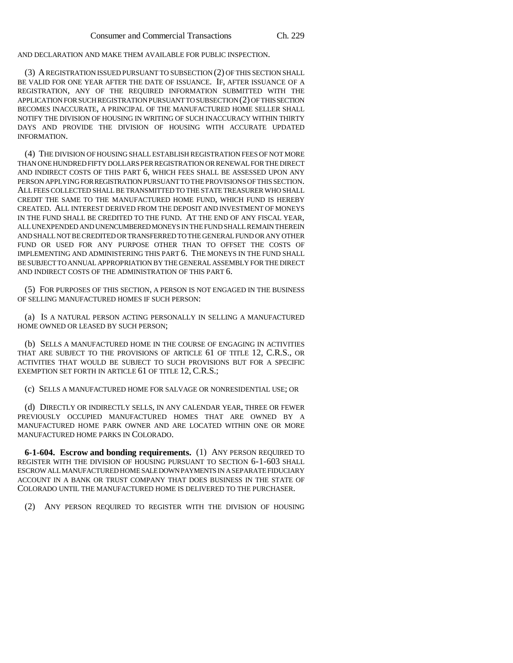AND DECLARATION AND MAKE THEM AVAILABLE FOR PUBLIC INSPECTION.

(3) A REGISTRATION ISSUED PURSUANT TO SUBSECTION (2) OF THIS SECTION SHALL BE VALID FOR ONE YEAR AFTER THE DATE OF ISSUANCE. IF, AFTER ISSUANCE OF A REGISTRATION, ANY OF THE REQUIRED INFORMATION SUBMITTED WITH THE APPLICATION FOR SUCH REGISTRATION PURSUANT TO SUBSECTION (2) OF THIS SECTION BECOMES INACCURATE, A PRINCIPAL OF THE MANUFACTURED HOME SELLER SHALL NOTIFY THE DIVISION OF HOUSING IN WRITING OF SUCH INACCURACY WITHIN THIRTY DAYS AND PROVIDE THE DIVISION OF HOUSING WITH ACCURATE UPDATED INFORMATION.

(4) THE DIVISION OF HOUSING SHALL ESTABLISH REGISTRATION FEES OF NOT MORE THAN ONE HUNDRED FIFTY DOLLARS PER REGISTRATION OR RENEWAL FOR THE DIRECT AND INDIRECT COSTS OF THIS PART 6, WHICH FEES SHALL BE ASSESSED UPON ANY PERSON APPLYING FOR REGISTRATION PURSUANT TO THE PROVISIONS OF THIS SECTION. ALL FEES COLLECTED SHALL BE TRANSMITTED TO THE STATE TREASURER WHO SHALL CREDIT THE SAME TO THE MANUFACTURED HOME FUND, WHICH FUND IS HEREBY CREATED. ALL INTEREST DERIVED FROM THE DEPOSIT AND INVESTMENT OF MONEYS IN THE FUND SHALL BE CREDITED TO THE FUND. AT THE END OF ANY FISCAL YEAR, ALL UNEXPENDED AND UNENCUMBERED MONEYS IN THE FUND SHALL REMAIN THEREIN AND SHALL NOT BE CREDITED OR TRANSFERRED TO THE GENERAL FUND OR ANY OTHER FUND OR USED FOR ANY PURPOSE OTHER THAN TO OFFSET THE COSTS OF IMPLEMENTING AND ADMINISTERING THIS PART 6. THE MONEYS IN THE FUND SHALL BE SUBJECT TO ANNUAL APPROPRIATION BY THE GENERAL ASSEMBLY FOR THE DIRECT AND INDIRECT COSTS OF THE ADMINISTRATION OF THIS PART 6.

(5) FOR PURPOSES OF THIS SECTION, A PERSON IS NOT ENGAGED IN THE BUSINESS OF SELLING MANUFACTURED HOMES IF SUCH PERSON:

(a) IS A NATURAL PERSON ACTING PERSONALLY IN SELLING A MANUFACTURED HOME OWNED OR LEASED BY SUCH PERSON;

(b) SELLS A MANUFACTURED HOME IN THE COURSE OF ENGAGING IN ACTIVITIES THAT ARE SUBJECT TO THE PROVISIONS OF ARTICLE 61 OF TITLE 12, C.R.S., OR ACTIVITIES THAT WOULD BE SUBJECT TO SUCH PROVISIONS BUT FOR A SPECIFIC EXEMPTION SET FORTH IN ARTICLE 61 OF TITLE 12, C.R.S.;

(c) SELLS A MANUFACTURED HOME FOR SALVAGE OR NONRESIDENTIAL USE; OR

(d) DIRECTLY OR INDIRECTLY SELLS, IN ANY CALENDAR YEAR, THREE OR FEWER PREVIOUSLY OCCUPIED MANUFACTURED HOMES THAT ARE OWNED BY A MANUFACTURED HOME PARK OWNER AND ARE LOCATED WITHIN ONE OR MORE MANUFACTURED HOME PARKS IN COLORADO.

**6-1-604. Escrow and bonding requirements.** (1) ANY PERSON REQUIRED TO REGISTER WITH THE DIVISION OF HOUSING PURSUANT TO SECTION 6-1-603 SHALL ESCROW ALL MANUFACTURED HOME SALE DOWN PAYMENTS IN A SEPARATE FIDUCIARY ACCOUNT IN A BANK OR TRUST COMPANY THAT DOES BUSINESS IN THE STATE OF COLORADO UNTIL THE MANUFACTURED HOME IS DELIVERED TO THE PURCHASER.

(2) ANY PERSON REQUIRED TO REGISTER WITH THE DIVISION OF HOUSING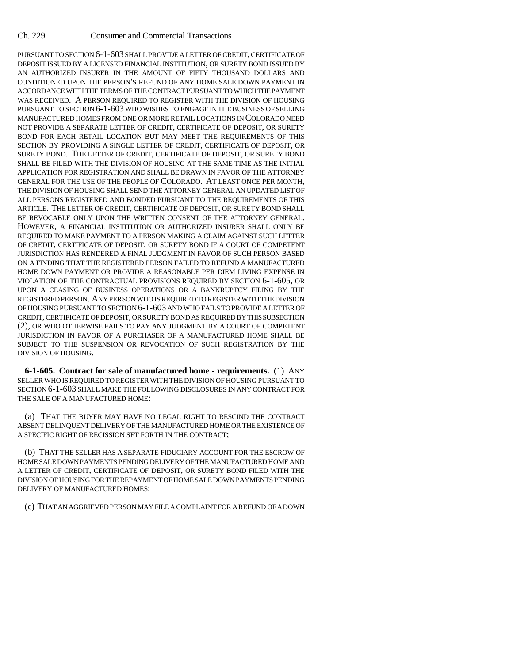PURSUANT TO SECTION 6-1-603 SHALL PROVIDE A LETTER OF CREDIT, CERTIFICATE OF DEPOSIT ISSUED BY A LICENSED FINANCIAL INSTITUTION, OR SURETY BOND ISSUED BY AN AUTHORIZED INSURER IN THE AMOUNT OF FIFTY THOUSAND DOLLARS AND CONDITIONED UPON THE PERSON'S REFUND OF ANY HOME SALE DOWN PAYMENT IN ACCORDANCE WITH THE TERMS OF THE CONTRACT PURSUANT TO WHICH THE PAYMENT WAS RECEIVED. A PERSON REQUIRED TO REGISTER WITH THE DIVISION OF HOUSING PURSUANT TO SECTION 6-1-603 WHO WISHES TO ENGAGE IN THE BUSINESS OF SELLING MANUFACTURED HOMES FROM ONE OR MORE RETAIL LOCATIONS IN COLORADO NEED NOT PROVIDE A SEPARATE LETTER OF CREDIT, CERTIFICATE OF DEPOSIT, OR SURETY BOND FOR EACH RETAIL LOCATION BUT MAY MEET THE REQUIREMENTS OF THIS SECTION BY PROVIDING A SINGLE LETTER OF CREDIT, CERTIFICATE OF DEPOSIT, OR SURETY BOND. THE LETTER OF CREDIT, CERTIFICATE OF DEPOSIT, OR SURETY BOND SHALL BE FILED WITH THE DIVISION OF HOUSING AT THE SAME TIME AS THE INITIAL APPLICATION FOR REGISTRATION AND SHALL BE DRAWN IN FAVOR OF THE ATTORNEY GENERAL FOR THE USE OF THE PEOPLE OF COLORADO. AT LEAST ONCE PER MONTH, THE DIVISION OF HOUSING SHALL SEND THE ATTORNEY GENERAL AN UPDATED LIST OF ALL PERSONS REGISTERED AND BONDED PURSUANT TO THE REQUIREMENTS OF THIS ARTICLE. THE LETTER OF CREDIT, CERTIFICATE OF DEPOSIT, OR SURETY BOND SHALL BE REVOCABLE ONLY UPON THE WRITTEN CONSENT OF THE ATTORNEY GENERAL. HOWEVER, A FINANCIAL INSTITUTION OR AUTHORIZED INSURER SHALL ONLY BE REQUIRED TO MAKE PAYMENT TO A PERSON MAKING A CLAIM AGAINST SUCH LETTER OF CREDIT, CERTIFICATE OF DEPOSIT, OR SURETY BOND IF A COURT OF COMPETENT JURISDICTION HAS RENDERED A FINAL JUDGMENT IN FAVOR OF SUCH PERSON BASED ON A FINDING THAT THE REGISTERED PERSON FAILED TO REFUND A MANUFACTURED HOME DOWN PAYMENT OR PROVIDE A REASONABLE PER DIEM LIVING EXPENSE IN VIOLATION OF THE CONTRACTUAL PROVISIONS REQUIRED BY SECTION 6-1-605, OR UPON A CEASING OF BUSINESS OPERATIONS OR A BANKRUPTCY FILING BY THE REGISTERED PERSON. ANY PERSON WHO IS REQUIRED TO REGISTER WITH THE DIVISION OF HOUSING PURSUANT TO SECTION 6-1-603 AND WHO FAILS TO PROVIDE A LETTER OF CREDIT, CERTIFICATE OF DEPOSIT, OR SURETY BOND AS REQUIRED BY THIS SUBSECTION (2), OR WHO OTHERWISE FAILS TO PAY ANY JUDGMENT BY A COURT OF COMPETENT JURISDICTION IN FAVOR OF A PURCHASER OF A MANUFACTURED HOME SHALL BE SUBJECT TO THE SUSPENSION OR REVOCATION OF SUCH REGISTRATION BY THE DIVISION OF HOUSING.

**6-1-605. Contract for sale of manufactured home - requirements.** (1) ANY SELLER WHO IS REQUIRED TO REGISTER WITH THE DIVISION OF HOUSING PURSUANT TO SECTION 6-1-603 SHALL MAKE THE FOLLOWING DISCLOSURES IN ANY CONTRACT FOR THE SALE OF A MANUFACTURED HOME:

(a) THAT THE BUYER MAY HAVE NO LEGAL RIGHT TO RESCIND THE CONTRACT ABSENT DELINQUENT DELIVERY OF THE MANUFACTURED HOME OR THE EXISTENCE OF A SPECIFIC RIGHT OF RECISSION SET FORTH IN THE CONTRACT;

(b) THAT THE SELLER HAS A SEPARATE FIDUCIARY ACCOUNT FOR THE ESCROW OF HOME SALE DOWN PAYMENTS PENDING DELIVERY OF THE MANUFACTURED HOME AND A LETTER OF CREDIT, CERTIFICATE OF DEPOSIT, OR SURETY BOND FILED WITH THE DIVISION OF HOUSING FOR THE REPAYMENT OF HOME SALE DOWN PAYMENTS PENDING DELIVERY OF MANUFACTURED HOMES;

(c) THAT AN AGGRIEVED PERSON MAY FILE A COMPLAINT FOR A REFUND OF A DOWN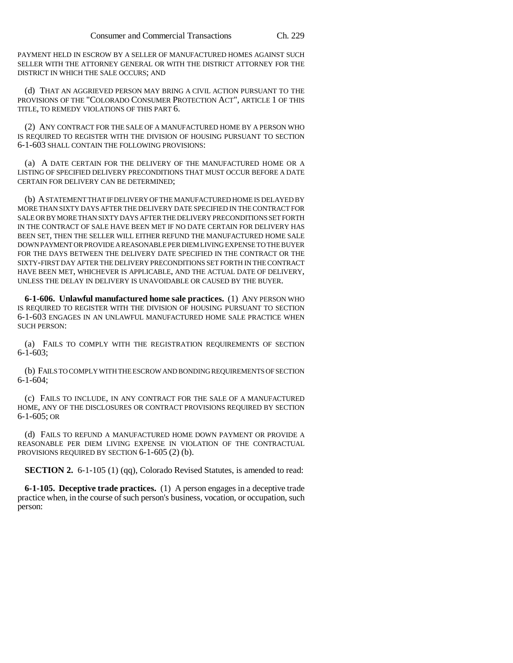PAYMENT HELD IN ESCROW BY A SELLER OF MANUFACTURED HOMES AGAINST SUCH SELLER WITH THE ATTORNEY GENERAL OR WITH THE DISTRICT ATTORNEY FOR THE DISTRICT IN WHICH THE SALE OCCURS; AND

(d) THAT AN AGGRIEVED PERSON MAY BRING A CIVIL ACTION PURSUANT TO THE PROVISIONS OF THE "COLORADO CONSUMER PROTECTION ACT", ARTICLE 1 OF THIS TITLE, TO REMEDY VIOLATIONS OF THIS PART 6.

(2) ANY CONTRACT FOR THE SALE OF A MANUFACTURED HOME BY A PERSON WHO IS REQUIRED TO REGISTER WITH THE DIVISION OF HOUSING PURSUANT TO SECTION 6-1-603 SHALL CONTAIN THE FOLLOWING PROVISIONS:

(a) A DATE CERTAIN FOR THE DELIVERY OF THE MANUFACTURED HOME OR A LISTING OF SPECIFIED DELIVERY PRECONDITIONS THAT MUST OCCUR BEFORE A DATE CERTAIN FOR DELIVERY CAN BE DETERMINED;

(b) A STATEMENT THAT IF DELIVERY OF THE MANUFACTURED HOME IS DELAYED BY MORE THAN SIXTY DAYS AFTER THE DELIVERY DATE SPECIFIED IN THE CONTRACT FOR SALE OR BY MORE THAN SIXTY DAYS AFTER THE DELIVERY PRECONDITIONS SET FORTH IN THE CONTRACT OF SALE HAVE BEEN MET IF NO DATE CERTAIN FOR DELIVERY HAS BEEN SET, THEN THE SELLER WILL EITHER REFUND THE MANUFACTURED HOME SALE DOWN PAYMENT OR PROVIDE A REASONABLE PER DIEM LIVING EXPENSE TO THE BUYER FOR THE DAYS BETWEEN THE DELIVERY DATE SPECIFIED IN THE CONTRACT OR THE SIXTY-FIRST DAY AFTER THE DELIVERY PRECONDITIONS SET FORTH IN THE CONTRACT HAVE BEEN MET, WHICHEVER IS APPLICABLE, AND THE ACTUAL DATE OF DELIVERY, UNLESS THE DELAY IN DELIVERY IS UNAVOIDABLE OR CAUSED BY THE BUYER.

**6-1-606. Unlawful manufactured home sale practices.** (1) ANY PERSON WHO IS REQUIRED TO REGISTER WITH THE DIVISION OF HOUSING PURSUANT TO SECTION 6-1-603 ENGAGES IN AN UNLAWFUL MANUFACTURED HOME SALE PRACTICE WHEN SUCH PERSON:

(a) FAILS TO COMPLY WITH THE REGISTRATION REQUIREMENTS OF SECTION 6-1-603;

(b) FAILS TO COMPLY WITH THE ESCROW AND BONDING REQUIREMENTS OF SECTION 6-1-604;

(c) FAILS TO INCLUDE, IN ANY CONTRACT FOR THE SALE OF A MANUFACTURED HOME, ANY OF THE DISCLOSURES OR CONTRACT PROVISIONS REQUIRED BY SECTION 6-1-605; OR

(d) FAILS TO REFUND A MANUFACTURED HOME DOWN PAYMENT OR PROVIDE A REASONABLE PER DIEM LIVING EXPENSE IN VIOLATION OF THE CONTRACTUAL PROVISIONS REQUIRED BY SECTION 6-1-605 (2) (b).

**SECTION 2.** 6-1-105 (1) (qq), Colorado Revised Statutes, is amended to read:

**6-1-105. Deceptive trade practices.** (1) A person engages in a deceptive trade practice when, in the course of such person's business, vocation, or occupation, such person: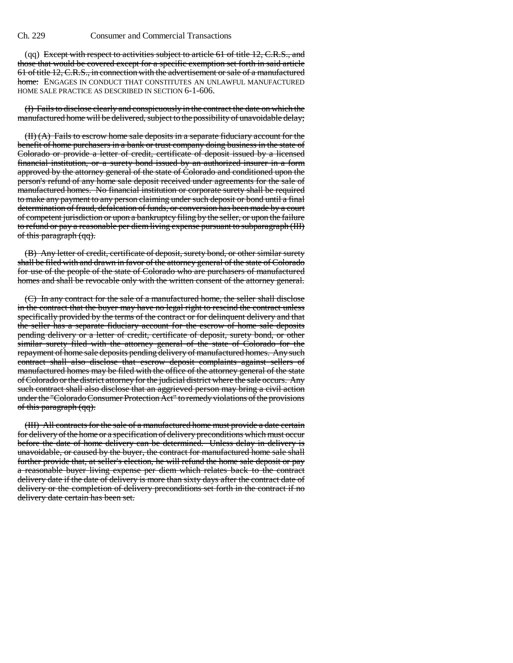(qq) Except with respect to activities subject to article 61 of title 12, C.R.S., and those that would be covered except for a specific exemption set forth in said article 61 of title 12, C.R.S., in connection with the advertisement or sale of a manufactured home: ENGAGES IN CONDUCT THAT CONSTITUTES AN UNLAWFUL MANUFACTURED HOME SALE PRACTICE AS DESCRIBED IN SECTION 6-1-606.

(I) Fails to disclose clearly and conspicuously in the contract the date on which the manufactured home will be delivered, subject to the possibility of unavoidable delay;

(II) (A) Fails to escrow home sale deposits in a separate fiduciary account for the benefit of home purchasers in a bank or trust company doing business in the state of Colorado or provide a letter of credit, certificate of deposit issued by a licensed financial institution, or a surety bond issued by an authorized insurer in a form approved by the attorney general of the state of Colorado and conditioned upon the person's refund of any home sale deposit received under agreements for the sale of manufactured homes. No financial institution or corporate surety shall be required to make any payment to any person claiming under such deposit or bond until a final determination of fraud, defalcation of funds, or conversion has been made by a court of competent jurisdiction or upon a bankruptcy filing by the seller, or upon the failure to refund or pay a reasonable per diem living expense pursuant to subparagraph (III) of this paragraph (qq).

(B) Any letter of credit, certificate of deposit, surety bond, or other similar surety shall be filed with and drawn in favor of the attorney general of the state of Colorado for use of the people of the state of Colorado who are purchasers of manufactured homes and shall be revocable only with the written consent of the attorney general.

(C) In any contract for the sale of a manufactured home, the seller shall disclose in the contract that the buyer may have no legal right to rescind the contract unless specifically provided by the terms of the contract or for delinquent delivery and that the seller has a separate fiduciary account for the escrow of home sale deposits pending delivery or a letter of credit, certificate of deposit, surety bond, or other similar surety filed with the attorney general of the state of Colorado for the repayment of home sale deposits pending delivery of manufactured homes. Any such contract shall also disclose that escrow deposit complaints against sellers of manufactured homes may be filed with the office of the attorney general of the state of Colorado or the district attorney for the judicial district where the sale occurs. Any such contract shall also disclose that an aggrieved person may bring a civil action under the "Colorado Consumer Protection Act" to remedy violations of the provisions of this paragraph (qq).

(III) All contracts for the sale of a manufactured home must provide a date certain for delivery of the home or a specification of delivery preconditions which must occur before the date of home delivery can be determined. Unless delay in delivery is unavoidable, or caused by the buyer, the contract for manufactured home sale shall further provide that, at seller's election, he will refund the home sale deposit or pay a reasonable buyer living expense per diem which relates back to the contract delivery date if the date of delivery is more than sixty days after the contract date of delivery or the completion of delivery preconditions set forth in the contract if no delivery date certain has been set.